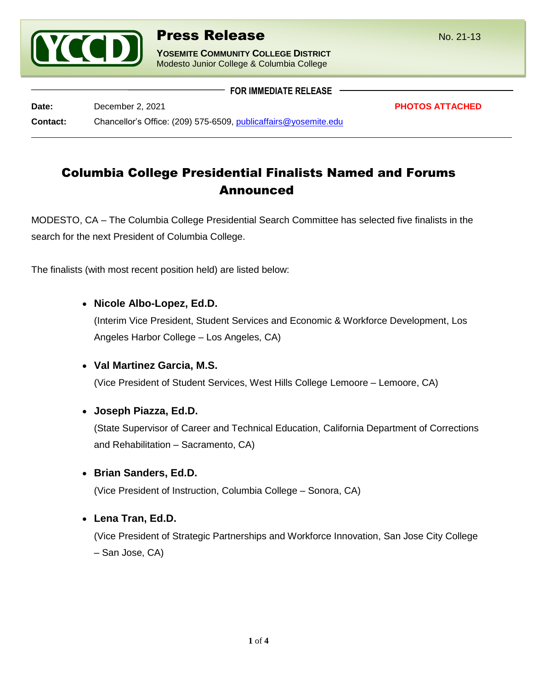

**YOSEMITE COMMUNITY COLLEGE DISTRICT** Modesto Junior College & Columbia College

**Date:** December 2, 2021 **PHOTOS ATTACHED Contact:** Chancellor's Office: (209) 575-6509, [publicaffairs@yosemite.edu](mailto:publicaffairs@yosemite.edu)

Columbia College Presidential Finalists Named and Forums Announced

**FOR IMMEDIATE RELEASE**

MODESTO, CA – The Columbia College Presidential Search Committee has selected five finalists in the search for the next President of Columbia College.

The finalists (with most recent position held) are listed below:

# • **Nicole Albo-Lopez, Ed.D.**

(Interim Vice President, Student Services and Economic & Workforce Development, Los Angeles Harbor College – Los Angeles, CA)

### • **Val Martinez Garcia, M.S.**

(Vice President of Student Services, West Hills College Lemoore – Lemoore, CA)

### • **Joseph Piazza, Ed.D.**

(State Supervisor of Career and Technical Education, California Department of Corrections and Rehabilitation – Sacramento, CA)

### • **Brian Sanders, Ed.D.**

(Vice President of Instruction, Columbia College – Sonora, CA)

### • **Lena Tran, Ed.D.**

(Vice President of Strategic Partnerships and Workforce Innovation, San Jose City College – San Jose, CA)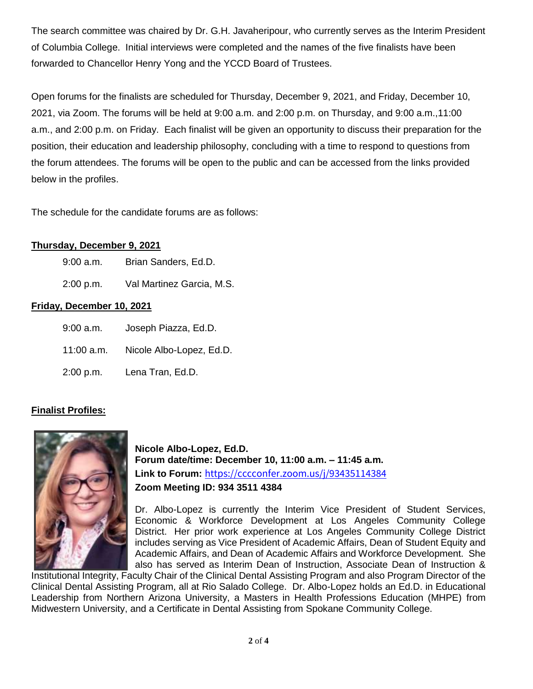The search committee was chaired by Dr. G.H. Javaheripour, who currently serves as the Interim President of Columbia College. Initial interviews were completed and the names of the five finalists have been forwarded to Chancellor Henry Yong and the YCCD Board of Trustees.

Open forums for the finalists are scheduled for Thursday, December 9, 2021, and Friday, December 10, 2021, via Zoom. The forums will be held at 9:00 a.m. and 2:00 p.m. on Thursday, and 9:00 a.m.,11:00 a.m., and 2:00 p.m. on Friday. Each finalist will be given an opportunity to discuss their preparation for the position, their education and leadership philosophy, concluding with a time to respond to questions from the forum attendees. The forums will be open to the public and can be accessed from the links provided below in the profiles.

The schedule for the candidate forums are as follows:

# **Thursday, December 9, 2021**

- 9:00 a.m. Brian Sanders, Ed.D.
- 2:00 p.m. Val Martinez Garcia, M.S.

# **Friday, December 10, 2021**

9:00 a.m. Joseph Piazza, Ed.D. 11:00 a.m. Nicole Albo-Lopez, Ed.D. 2:00 p.m. Lena Tran, Ed.D.

# **Finalist Profiles:**



**Nicole Albo-Lopez, Ed.D. Forum date/time: December 10, 11:00 a.m. – 11:45 a.m. Link to Forum:** <https://cccconfer.zoom.us/j/93435114384> **Zoom Meeting ID: 934 3511 4384**

Dr. Albo-Lopez is currently the Interim Vice President of Student Services, Economic & Workforce Development at Los Angeles Community College District. Her prior work experience at Los Angeles Community College District includes serving as Vice President of Academic Affairs, Dean of Student Equity and Academic Affairs, and Dean of Academic Affairs and Workforce Development. She also has served as Interim Dean of Instruction, Associate Dean of Instruction &

Institutional Integrity, Faculty Chair of the Clinical Dental Assisting Program and also Program Director of the Clinical Dental Assisting Program, all at Rio Salado College. Dr. Albo-Lopez holds an Ed.D. in Educational Leadership from Northern Arizona University, a Masters in Health Professions Education (MHPE) from Midwestern University, and a Certificate in Dental Assisting from Spokane Community College.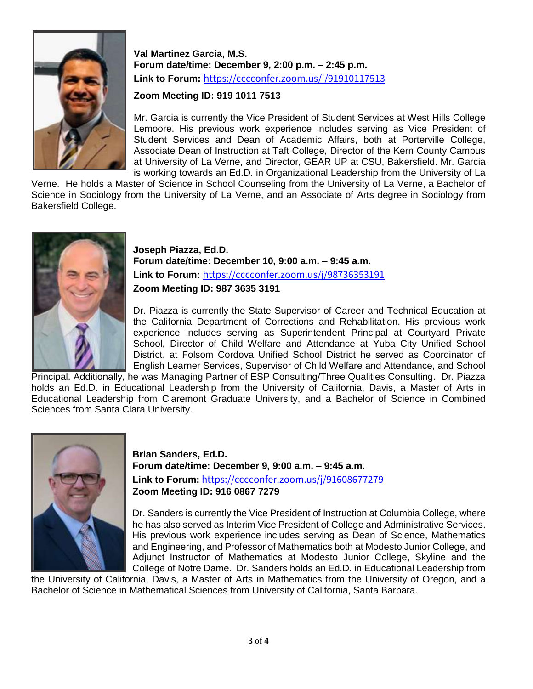

**Val Martinez Garcia, M.S. Forum date/time: December 9, 2:00 p.m. – 2:45 p.m. Link to Forum:** <https://cccconfer.zoom.us/j/91910117513>

# **Zoom Meeting ID: 919 1011 7513**

Mr. Garcia is currently the Vice President of Student Services at West Hills College Lemoore. His previous work experience includes serving as Vice President of Student Services and Dean of Academic Affairs, both at Porterville College, Associate Dean of Instruction at Taft College, Director of the Kern County Campus at University of La Verne, and Director, GEAR UP at CSU, Bakersfield. Mr. Garcia is working towards an Ed.D. in Organizational Leadership from the University of La

Verne. He holds a Master of Science in School Counseling from the University of La Verne, a Bachelor of Science in Sociology from the University of La Verne, and an Associate of Arts degree in Sociology from Bakersfield College.



**Joseph Piazza, Ed.D. Forum date/time: December 10, 9:00 a.m. – 9:45 a.m. Link to Forum:** <https://cccconfer.zoom.us/j/98736353191> **Zoom Meeting ID: 987 3635 3191**

Dr. Piazza is currently the State Supervisor of Career and Technical Education at the California Department of Corrections and Rehabilitation. His previous work experience includes serving as Superintendent Principal at Courtyard Private School, Director of Child Welfare and Attendance at Yuba City Unified School District, at Folsom Cordova Unified School District he served as Coordinator of English Learner Services, Supervisor of Child Welfare and Attendance, and School

Principal. Additionally, he was Managing Partner of ESP Consulting/Three Qualities Consulting. Dr. Piazza holds an Ed.D. in Educational Leadership from the University of California, Davis, a Master of Arts in Educational Leadership from Claremont Graduate University, and a Bachelor of Science in Combined Sciences from Santa Clara University.



**Brian Sanders, Ed.D. Forum date/time: December 9, 9:00 a.m. – 9:45 a.m. Link to Forum:** <https://cccconfer.zoom.us/j/91608677279> **Zoom Meeting ID: 916 0867 7279**

Dr. Sanders is currently the Vice President of Instruction at Columbia College, where he has also served as Interim Vice President of College and Administrative Services. His previous work experience includes serving as Dean of Science, Mathematics and Engineering, and Professor of Mathematics both at Modesto Junior College, and Adjunct Instructor of Mathematics at Modesto Junior College, Skyline and the College of Notre Dame. Dr. Sanders holds an Ed.D. in Educational Leadership from

the University of California, Davis, a Master of Arts in Mathematics from the University of Oregon, and a Bachelor of Science in Mathematical Sciences from University of California, Santa Barbara.